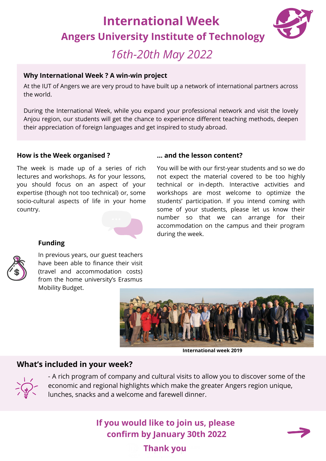## **International Week Angers University Institute of Technology**



## *16th-20th May 2022*

### **Why International Week ? A win-win project**

At the IUT of Angers we are very proud to have built up a network of international partners across the world.

During the International Week, while you expand your professional network and visit the lovely Anjou region, our students will get the chance to experience different teaching methods, deepen their appreciation of foreign languages and get inspired to study abroad.

#### **How is the Week organised ?**

The week is made up of a series of rich lectures and workshops. As for your lessons, you should focus on an aspect of your expertise (though not too technical) or, some socio-cultural aspects of life in your home country.



### **Funding**



In previous years, our guest teachers have been able to finance their visit (travel and accommodation costs) from the home university's Erasmus Mobility Budget.

### **… and the lesson content?**

You will be with our first-year students and so we do not expect the material covered to be too highly technical or in-depth. Interactive activities and workshops are most welcome to optimize the students' participation. If you intend coming with some of your students, please let us know their number so that we can arrange for their accommodation on the campus and their program during the week.



**International week 2019**

### **What's included in your week?**



- A rich program of company and cultural visits to allow you to discover some of the economic and regional highlights which make the greater Angers region unique, lunches, snacks and a welcome and farewell dinner.

## **If you would like to join us, please confirm by January 30th 2022**

**Thank you**

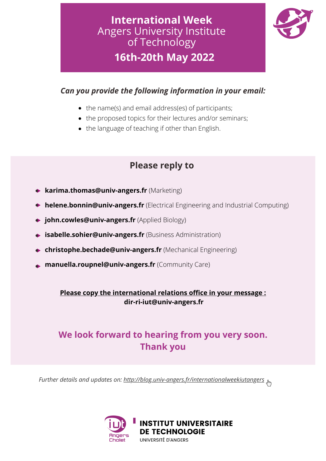## **16th-20th May 2022 International Week** Angers University Institute of Technology



### *Can you provide the following information in your email:*

- the name(s) and email address(es) of participants;
- the proposed topics for their lectures and/or seminars;
- the language of teaching if other than English.

## **Please reply to**

- **karima.thomas@univ-angers.fr** (Marketing)
- **helene.bonnin@univ-angers.fr** (Electrical Engineering and Industrial Computing)
- **john.cowles@univ-angers.fr** (Applied Biology)
- **isabelle.sohier@univ-angers.fr** (Business Administration)
- **christophe.bechade@univ-angers.fr** (Mechanical Engineering)
- **manuella.roupnel@univ-angers.fr** (Community Care)

**Please copy the international relations office in your message : dir-ri-iut@univ-angers.fr**

## **We look forward to hearing from you very soon. Thank you**

 $\emph{Further details and updates on: }\underline{\emph{http://blog.univ-angers.fr/internationalweekiutangers}_{\spim},\bar{\ }$  $\emph{Further details and updates on: }\underline{\emph{http://blog.univ-angers.fr/internationalweekiutangers}_{\spim},\bar{\ }$  $\emph{Further details and updates on: }\underline{\emph{http://blog.univ-angers.fr/internationalweekiutangers}_{\spim},\bar{\ }$